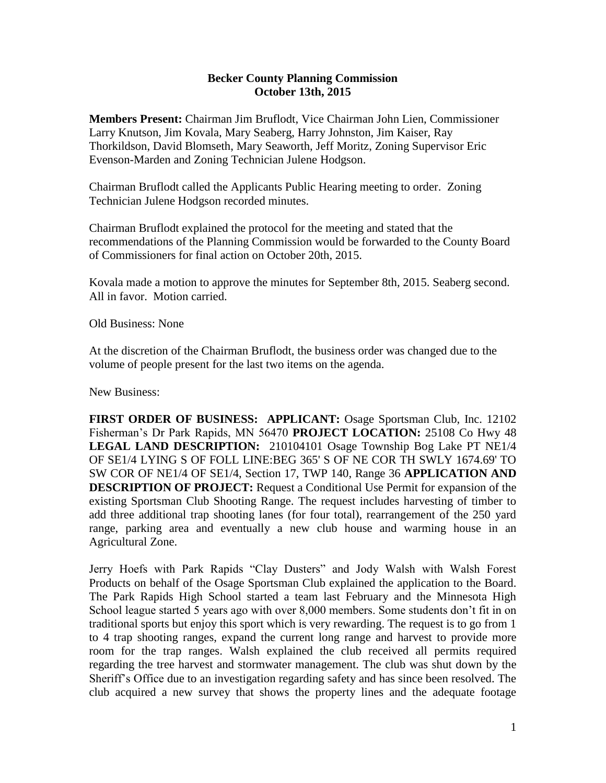## **Becker County Planning Commission October 13th, 2015**

**Members Present:** Chairman Jim Bruflodt, Vice Chairman John Lien, Commissioner Larry Knutson, Jim Kovala, Mary Seaberg, Harry Johnston, Jim Kaiser, Ray Thorkildson, David Blomseth, Mary Seaworth, Jeff Moritz, Zoning Supervisor Eric Evenson-Marden and Zoning Technician Julene Hodgson.

Chairman Bruflodt called the Applicants Public Hearing meeting to order. Zoning Technician Julene Hodgson recorded minutes.

Chairman Bruflodt explained the protocol for the meeting and stated that the recommendations of the Planning Commission would be forwarded to the County Board of Commissioners for final action on October 20th, 2015.

Kovala made a motion to approve the minutes for September 8th, 2015. Seaberg second. All in favor. Motion carried.

Old Business: None

At the discretion of the Chairman Bruflodt, the business order was changed due to the volume of people present for the last two items on the agenda.

New Business:

**FIRST ORDER OF BUSINESS: APPLICANT:** Osage Sportsman Club, Inc. 12102 Fisherman's Dr Park Rapids, MN 56470 **PROJECT LOCATION:** 25108 Co Hwy 48 **LEGAL LAND DESCRIPTION:** 210104101 Osage Township Bog Lake PT NE1/4 OF SE1/4 LYING S OF FOLL LINE:BEG 365' S OF NE COR TH SWLY 1674.69' TO SW COR OF NE1/4 OF SE1/4, Section 17, TWP 140, Range 36 **APPLICATION AND DESCRIPTION OF PROJECT:** Request a Conditional Use Permit for expansion of the existing Sportsman Club Shooting Range. The request includes harvesting of timber to add three additional trap shooting lanes (for four total), rearrangement of the 250 yard range, parking area and eventually a new club house and warming house in an Agricultural Zone.

Jerry Hoefs with Park Rapids "Clay Dusters" and Jody Walsh with Walsh Forest Products on behalf of the Osage Sportsman Club explained the application to the Board. The Park Rapids High School started a team last February and the Minnesota High School league started 5 years ago with over 8,000 members. Some students don't fit in on traditional sports but enjoy this sport which is very rewarding. The request is to go from 1 to 4 trap shooting ranges, expand the current long range and harvest to provide more room for the trap ranges. Walsh explained the club received all permits required regarding the tree harvest and stormwater management. The club was shut down by the Sheriff's Office due to an investigation regarding safety and has since been resolved. The club acquired a new survey that shows the property lines and the adequate footage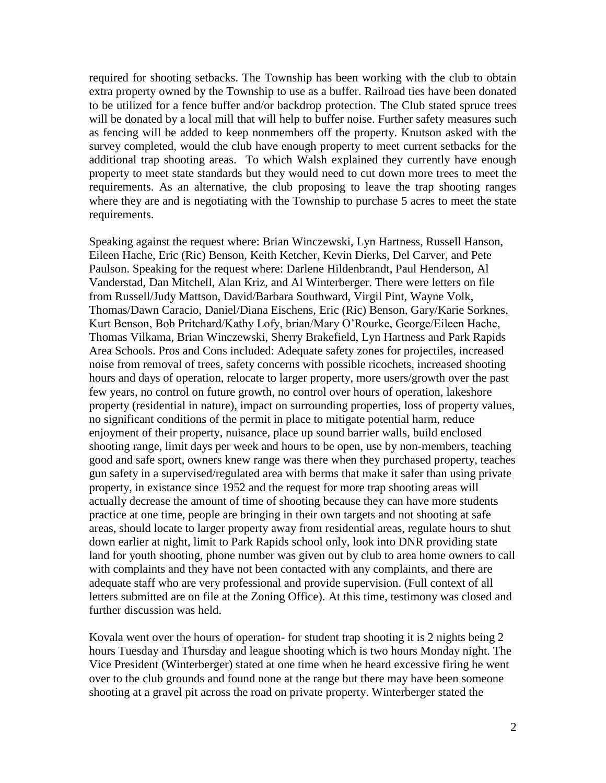required for shooting setbacks. The Township has been working with the club to obtain extra property owned by the Township to use as a buffer. Railroad ties have been donated to be utilized for a fence buffer and/or backdrop protection. The Club stated spruce trees will be donated by a local mill that will help to buffer noise. Further safety measures such as fencing will be added to keep nonmembers off the property. Knutson asked with the survey completed, would the club have enough property to meet current setbacks for the additional trap shooting areas. To which Walsh explained they currently have enough property to meet state standards but they would need to cut down more trees to meet the requirements. As an alternative, the club proposing to leave the trap shooting ranges where they are and is negotiating with the Township to purchase 5 acres to meet the state requirements.

Speaking against the request where: Brian Winczewski, Lyn Hartness, Russell Hanson, Eileen Hache, Eric (Ric) Benson, Keith Ketcher, Kevin Dierks, Del Carver, and Pete Paulson. Speaking for the request where: Darlene Hildenbrandt, Paul Henderson, Al Vanderstad, Dan Mitchell, Alan Kriz, and Al Winterberger. There were letters on file from Russell/Judy Mattson, David/Barbara Southward, Virgil Pint, Wayne Volk, Thomas/Dawn Caracio, Daniel/Diana Eischens, Eric (Ric) Benson, Gary/Karie Sorknes, Kurt Benson, Bob Pritchard/Kathy Lofy, brian/Mary O'Rourke, George/Eileen Hache, Thomas Vilkama, Brian Winczewski, Sherry Brakefield, Lyn Hartness and Park Rapids Area Schools. Pros and Cons included: Adequate safety zones for projectiles, increased noise from removal of trees, safety concerns with possible ricochets, increased shooting hours and days of operation, relocate to larger property, more users/growth over the past few years, no control on future growth, no control over hours of operation, lakeshore property (residential in nature), impact on surrounding properties, loss of property values, no significant conditions of the permit in place to mitigate potential harm, reduce enjoyment of their property, nuisance, place up sound barrier walls, build enclosed shooting range, limit days per week and hours to be open, use by non-members, teaching good and safe sport, owners knew range was there when they purchased property, teaches gun safety in a supervised/regulated area with berms that make it safer than using private property, in existance since 1952 and the request for more trap shooting areas will actually decrease the amount of time of shooting because they can have more students practice at one time, people are bringing in their own targets and not shooting at safe areas, should locate to larger property away from residential areas, regulate hours to shut down earlier at night, limit to Park Rapids school only, look into DNR providing state land for youth shooting, phone number was given out by club to area home owners to call with complaints and they have not been contacted with any complaints, and there are adequate staff who are very professional and provide supervision. (Full context of all letters submitted are on file at the Zoning Office). At this time, testimony was closed and further discussion was held.

Kovala went over the hours of operation- for student trap shooting it is 2 nights being 2 hours Tuesday and Thursday and league shooting which is two hours Monday night. The Vice President (Winterberger) stated at one time when he heard excessive firing he went over to the club grounds and found none at the range but there may have been someone shooting at a gravel pit across the road on private property. Winterberger stated the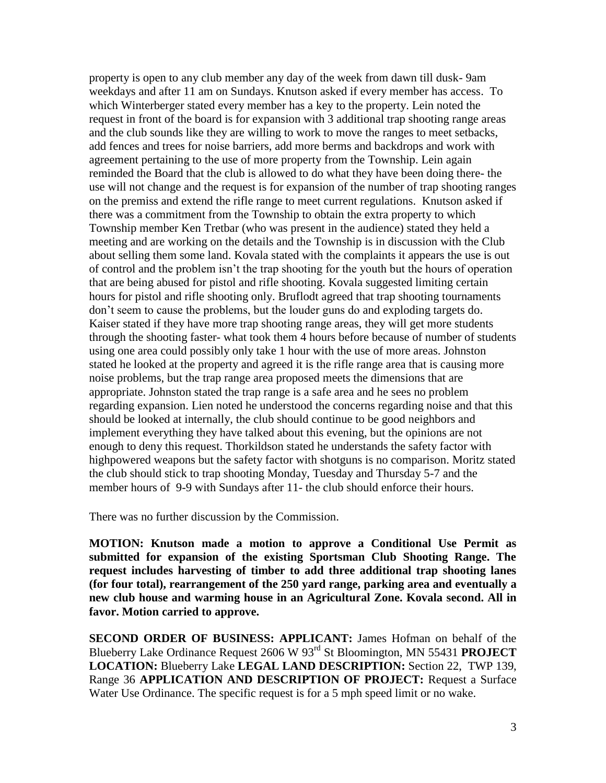property is open to any club member any day of the week from dawn till dusk- 9am weekdays and after 11 am on Sundays. Knutson asked if every member has access. To which Winterberger stated every member has a key to the property. Lein noted the request in front of the board is for expansion with 3 additional trap shooting range areas and the club sounds like they are willing to work to move the ranges to meet setbacks, add fences and trees for noise barriers, add more berms and backdrops and work with agreement pertaining to the use of more property from the Township. Lein again reminded the Board that the club is allowed to do what they have been doing there- the use will not change and the request is for expansion of the number of trap shooting ranges on the premiss and extend the rifle range to meet current regulations. Knutson asked if there was a commitment from the Township to obtain the extra property to which Township member Ken Tretbar (who was present in the audience) stated they held a meeting and are working on the details and the Township is in discussion with the Club about selling them some land. Kovala stated with the complaints it appears the use is out of control and the problem isn't the trap shooting for the youth but the hours of operation that are being abused for pistol and rifle shooting. Kovala suggested limiting certain hours for pistol and rifle shooting only. Bruflodt agreed that trap shooting tournaments don't seem to cause the problems, but the louder guns do and exploding targets do. Kaiser stated if they have more trap shooting range areas, they will get more students through the shooting faster- what took them 4 hours before because of number of students using one area could possibly only take 1 hour with the use of more areas. Johnston stated he looked at the property and agreed it is the rifle range area that is causing more noise problems, but the trap range area proposed meets the dimensions that are appropriate. Johnston stated the trap range is a safe area and he sees no problem regarding expansion. Lien noted he understood the concerns regarding noise and that this should be looked at internally, the club should continue to be good neighbors and implement everything they have talked about this evening, but the opinions are not enough to deny this request. Thorkildson stated he understands the safety factor with highpowered weapons but the safety factor with shotguns is no comparison. Moritz stated the club should stick to trap shooting Monday, Tuesday and Thursday 5-7 and the member hours of 9-9 with Sundays after 11- the club should enforce their hours.

There was no further discussion by the Commission.

**MOTION: Knutson made a motion to approve a Conditional Use Permit as submitted for expansion of the existing Sportsman Club Shooting Range. The request includes harvesting of timber to add three additional trap shooting lanes (for four total), rearrangement of the 250 yard range, parking area and eventually a new club house and warming house in an Agricultural Zone. Kovala second. All in favor. Motion carried to approve.**

**SECOND ORDER OF BUSINESS: APPLICANT:** James Hofman on behalf of the Blueberry Lake Ordinance Request 2606 W 93rd St Bloomington, MN 55431 **PROJECT LOCATION:** Blueberry Lake **LEGAL LAND DESCRIPTION:** Section 22, TWP 139, Range 36 **APPLICATION AND DESCRIPTION OF PROJECT:** Request a Surface Water Use Ordinance. The specific request is for a 5 mph speed limit or no wake.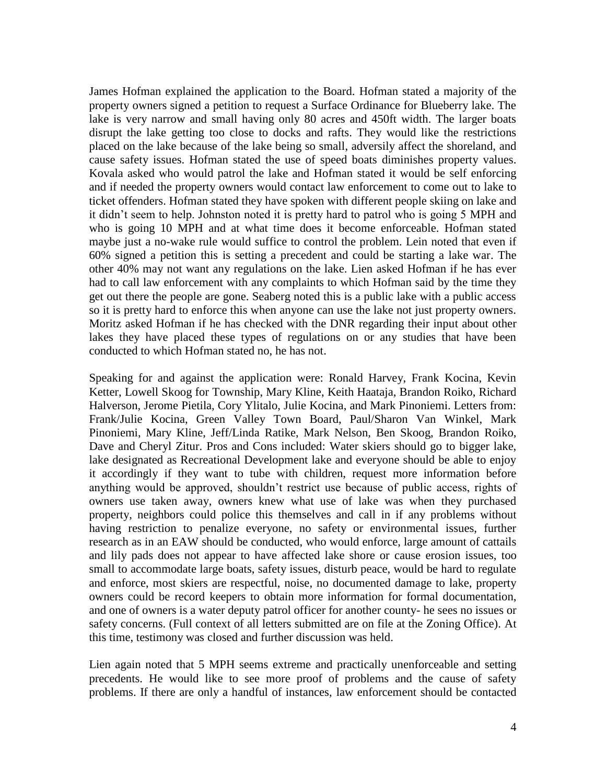James Hofman explained the application to the Board. Hofman stated a majority of the property owners signed a petition to request a Surface Ordinance for Blueberry lake. The lake is very narrow and small having only 80 acres and 450ft width. The larger boats disrupt the lake getting too close to docks and rafts. They would like the restrictions placed on the lake because of the lake being so small, adversily affect the shoreland, and cause safety issues. Hofman stated the use of speed boats diminishes property values. Kovala asked who would patrol the lake and Hofman stated it would be self enforcing and if needed the property owners would contact law enforcement to come out to lake to ticket offenders. Hofman stated they have spoken with different people skiing on lake and it didn't seem to help. Johnston noted it is pretty hard to patrol who is going 5 MPH and who is going 10 MPH and at what time does it become enforceable. Hofman stated maybe just a no-wake rule would suffice to control the problem. Lein noted that even if 60% signed a petition this is setting a precedent and could be starting a lake war. The other 40% may not want any regulations on the lake. Lien asked Hofman if he has ever had to call law enforcement with any complaints to which Hofman said by the time they get out there the people are gone. Seaberg noted this is a public lake with a public access so it is pretty hard to enforce this when anyone can use the lake not just property owners. Moritz asked Hofman if he has checked with the DNR regarding their input about other lakes they have placed these types of regulations on or any studies that have been conducted to which Hofman stated no, he has not.

Speaking for and against the application were: Ronald Harvey, Frank Kocina, Kevin Ketter, Lowell Skoog for Township, Mary Kline, Keith Haataja, Brandon Roiko, Richard Halverson, Jerome Pietila, Cory Ylitalo, Julie Kocina, and Mark Pinoniemi. Letters from: Frank/Julie Kocina, Green Valley Town Board, Paul/Sharon Van Winkel, Mark Pinoniemi, Mary Kline, Jeff/Linda Ratike, Mark Nelson, Ben Skoog, Brandon Roiko, Dave and Cheryl Zitur. Pros and Cons included: Water skiers should go to bigger lake, lake designated as Recreational Development lake and everyone should be able to enjoy it accordingly if they want to tube with children, request more information before anything would be approved, shouldn't restrict use because of public access, rights of owners use taken away, owners knew what use of lake was when they purchased property, neighbors could police this themselves and call in if any problems without having restriction to penalize everyone, no safety or environmental issues, further research as in an EAW should be conducted, who would enforce, large amount of cattails and lily pads does not appear to have affected lake shore or cause erosion issues, too small to accommodate large boats, safety issues, disturb peace, would be hard to regulate and enforce, most skiers are respectful, noise, no documented damage to lake, property owners could be record keepers to obtain more information for formal documentation, and one of owners is a water deputy patrol officer for another county- he sees no issues or safety concerns. (Full context of all letters submitted are on file at the Zoning Office). At this time, testimony was closed and further discussion was held.

Lien again noted that 5 MPH seems extreme and practically unenforceable and setting precedents. He would like to see more proof of problems and the cause of safety problems. If there are only a handful of instances, law enforcement should be contacted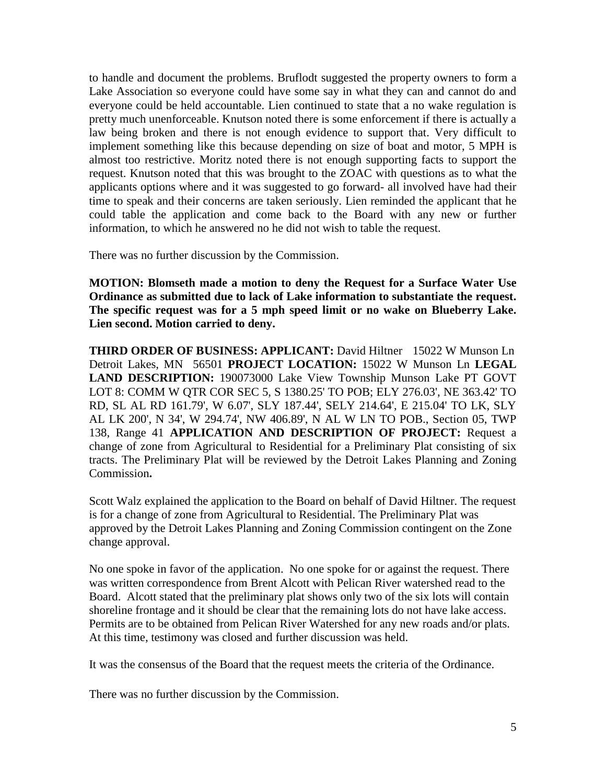to handle and document the problems. Bruflodt suggested the property owners to form a Lake Association so everyone could have some say in what they can and cannot do and everyone could be held accountable. Lien continued to state that a no wake regulation is pretty much unenforceable. Knutson noted there is some enforcement if there is actually a law being broken and there is not enough evidence to support that. Very difficult to implement something like this because depending on size of boat and motor, 5 MPH is almost too restrictive. Moritz noted there is not enough supporting facts to support the request. Knutson noted that this was brought to the ZOAC with questions as to what the applicants options where and it was suggested to go forward- all involved have had their time to speak and their concerns are taken seriously. Lien reminded the applicant that he could table the application and come back to the Board with any new or further information, to which he answered no he did not wish to table the request.

There was no further discussion by the Commission.

**MOTION: Blomseth made a motion to deny the Request for a Surface Water Use Ordinance as submitted due to lack of Lake information to substantiate the request. The specific request was for a 5 mph speed limit or no wake on Blueberry Lake. Lien second. Motion carried to deny.**

**THIRD ORDER OF BUSINESS: APPLICANT:** David Hiltner 15022 W Munson Ln Detroit Lakes, MN 56501 **PROJECT LOCATION:** 15022 W Munson Ln **LEGAL LAND DESCRIPTION:** 190073000 Lake View Township Munson Lake PT GOVT LOT 8: COMM W QTR COR SEC 5, S 1380.25' TO POB; ELY 276.03', NE 363.42' TO RD, SL AL RD 161.79', W 6.07', SLY 187.44', SELY 214.64', E 215.04' TO LK, SLY AL LK 200', N 34', W 294.74', NW 406.89', N AL W LN TO POB., Section 05, TWP 138, Range 41 **APPLICATION AND DESCRIPTION OF PROJECT:** Request a change of zone from Agricultural to Residential for a Preliminary Plat consisting of six tracts. The Preliminary Plat will be reviewed by the Detroit Lakes Planning and Zoning Commission**.** 

Scott Walz explained the application to the Board on behalf of David Hiltner. The request is for a change of zone from Agricultural to Residential. The Preliminary Plat was approved by the Detroit Lakes Planning and Zoning Commission contingent on the Zone change approval.

No one spoke in favor of the application. No one spoke for or against the request. There was written correspondence from Brent Alcott with Pelican River watershed read to the Board. Alcott stated that the preliminary plat shows only two of the six lots will contain shoreline frontage and it should be clear that the remaining lots do not have lake access. Permits are to be obtained from Pelican River Watershed for any new roads and/or plats. At this time, testimony was closed and further discussion was held.

It was the consensus of the Board that the request meets the criteria of the Ordinance.

There was no further discussion by the Commission.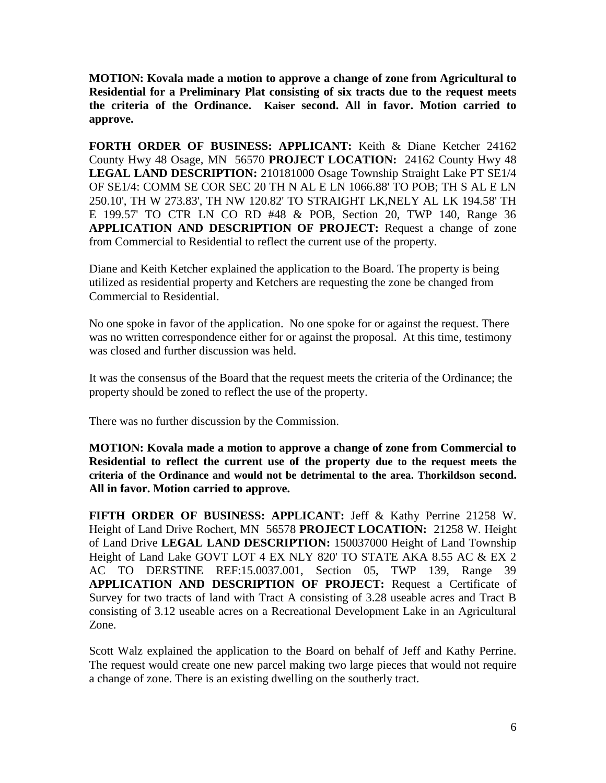**MOTION: Kovala made a motion to approve a change of zone from Agricultural to Residential for a Preliminary Plat consisting of six tracts due to the request meets the criteria of the Ordinance. Kaiser second. All in favor. Motion carried to approve.** 

**FORTH ORDER OF BUSINESS: APPLICANT:** Keith & Diane Ketcher 24162 County Hwy 48 Osage, MN 56570 **PROJECT LOCATION:** 24162 County Hwy 48 **LEGAL LAND DESCRIPTION:** 210181000 Osage Township Straight Lake PT SE1/4 OF SE1/4: COMM SE COR SEC 20 TH N AL E LN 1066.88' TO POB; TH S AL E LN 250.10', TH W 273.83', TH NW 120.82' TO STRAIGHT LK,NELY AL LK 194.58' TH E 199.57' TO CTR LN CO RD #48 & POB, Section 20, TWP 140, Range 36 **APPLICATION AND DESCRIPTION OF PROJECT:** Request a change of zone from Commercial to Residential to reflect the current use of the property.

Diane and Keith Ketcher explained the application to the Board. The property is being utilized as residential property and Ketchers are requesting the zone be changed from Commercial to Residential.

No one spoke in favor of the application. No one spoke for or against the request. There was no written correspondence either for or against the proposal. At this time, testimony was closed and further discussion was held.

It was the consensus of the Board that the request meets the criteria of the Ordinance; the property should be zoned to reflect the use of the property.

There was no further discussion by the Commission.

**MOTION: Kovala made a motion to approve a change of zone from Commercial to Residential to reflect the current use of the property due to the request meets the criteria of the Ordinance and would not be detrimental to the area. Thorkildson second. All in favor. Motion carried to approve.** 

**FIFTH ORDER OF BUSINESS: APPLICANT:** Jeff & Kathy Perrine 21258 W. Height of Land Drive Rochert, MN 56578 **PROJECT LOCATION:** 21258 W. Height of Land Drive **LEGAL LAND DESCRIPTION:** 150037000 Height of Land Township Height of Land Lake GOVT LOT 4 EX NLY 820' TO STATE AKA 8.55 AC & EX 2 AC TO DERSTINE REF:15.0037.001, Section 05, TWP 139, Range 39 **APPLICATION AND DESCRIPTION OF PROJECT:** Request a Certificate of Survey for two tracts of land with Tract A consisting of 3.28 useable acres and Tract B consisting of 3.12 useable acres on a Recreational Development Lake in an Agricultural Zone.

Scott Walz explained the application to the Board on behalf of Jeff and Kathy Perrine. The request would create one new parcel making two large pieces that would not require a change of zone. There is an existing dwelling on the southerly tract.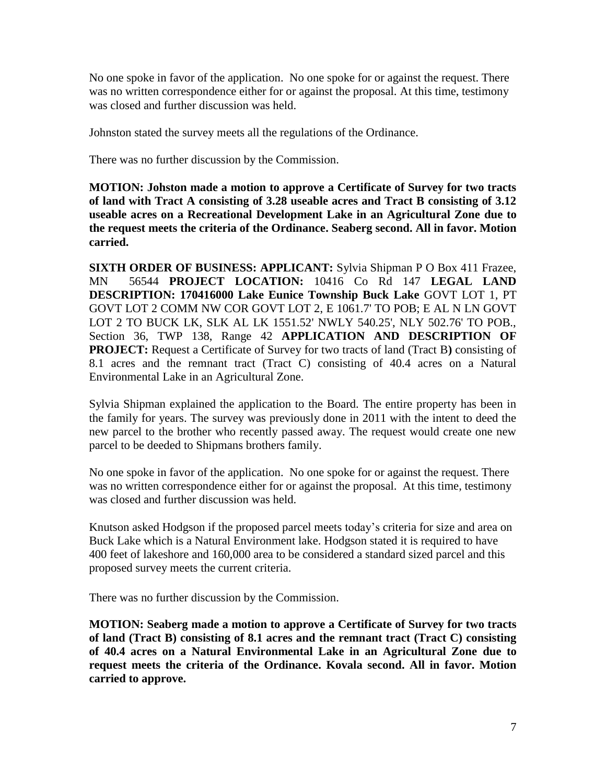No one spoke in favor of the application. No one spoke for or against the request. There was no written correspondence either for or against the proposal. At this time, testimony was closed and further discussion was held.

Johnston stated the survey meets all the regulations of the Ordinance.

There was no further discussion by the Commission.

**MOTION: Johston made a motion to approve a Certificate of Survey for two tracts of land with Tract A consisting of 3.28 useable acres and Tract B consisting of 3.12 useable acres on a Recreational Development Lake in an Agricultural Zone due to the request meets the criteria of the Ordinance. Seaberg second. All in favor. Motion carried.** 

**SIXTH ORDER OF BUSINESS: APPLICANT:** Sylvia Shipman P O Box 411 Frazee, MN 56544 **PROJECT LOCATION:** 10416 Co Rd 147 **LEGAL LAND DESCRIPTION: 170416000 Lake Eunice Township Buck Lake** GOVT LOT 1, PT GOVT LOT 2 COMM NW COR GOVT LOT 2, E 1061.7' TO POB; E AL N LN GOVT LOT 2 TO BUCK LK, SLK AL LK 1551.52' NWLY 540.25', NLY 502.76' TO POB., Section 36, TWP 138, Range 42 **APPLICATION AND DESCRIPTION OF PROJECT:** Request a Certificate of Survey for two tracts of land (Tract B**)** consisting of 8.1 acres and the remnant tract (Tract C) consisting of 40.4 acres on a Natural Environmental Lake in an Agricultural Zone.

Sylvia Shipman explained the application to the Board. The entire property has been in the family for years. The survey was previously done in 2011 with the intent to deed the new parcel to the brother who recently passed away. The request would create one new parcel to be deeded to Shipmans brothers family.

No one spoke in favor of the application. No one spoke for or against the request. There was no written correspondence either for or against the proposal. At this time, testimony was closed and further discussion was held.

Knutson asked Hodgson if the proposed parcel meets today's criteria for size and area on Buck Lake which is a Natural Environment lake. Hodgson stated it is required to have 400 feet of lakeshore and 160,000 area to be considered a standard sized parcel and this proposed survey meets the current criteria.

There was no further discussion by the Commission.

**MOTION: Seaberg made a motion to approve a Certificate of Survey for two tracts of land (Tract B) consisting of 8.1 acres and the remnant tract (Tract C) consisting of 40.4 acres on a Natural Environmental Lake in an Agricultural Zone due to request meets the criteria of the Ordinance. Kovala second. All in favor. Motion carried to approve.**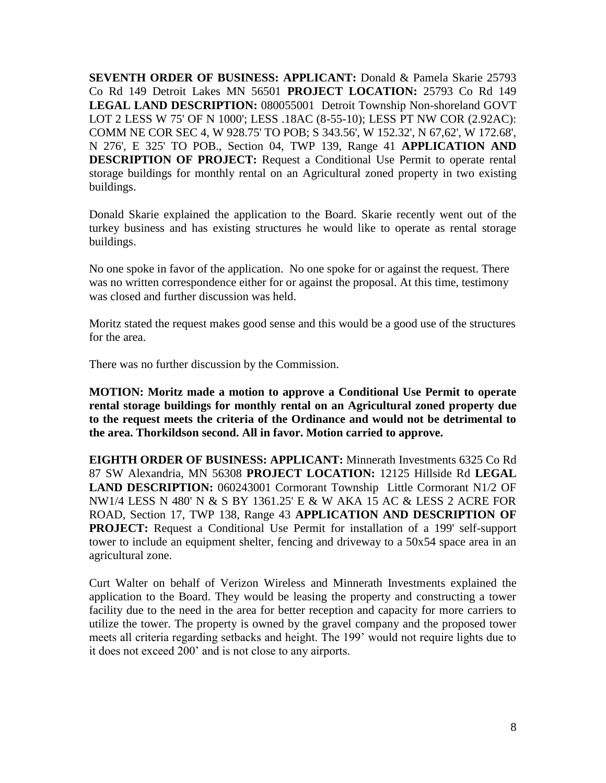**SEVENTH ORDER OF BUSINESS: APPLICANT:** Donald & Pamela Skarie 25793 Co Rd 149 Detroit Lakes MN 56501 **PROJECT LOCATION:** 25793 Co Rd 149 **LEGAL LAND DESCRIPTION:** 080055001 Detroit Township Non-shoreland GOVT LOT 2 LESS W 75' OF N 1000'; LESS .18AC (8-55-10); LESS PT NW COR (2.92AC): COMM NE COR SEC 4, W 928.75' TO POB; S 343.56', W 152.32', N 67,62', W 172.68', N 276', E 325' TO POB., Section 04, TWP 139, Range 41 **APPLICATION AND DESCRIPTION OF PROJECT:** Request a Conditional Use Permit to operate rental storage buildings for monthly rental on an Agricultural zoned property in two existing buildings.

Donald Skarie explained the application to the Board. Skarie recently went out of the turkey business and has existing structures he would like to operate as rental storage buildings.

No one spoke in favor of the application. No one spoke for or against the request. There was no written correspondence either for or against the proposal. At this time, testimony was closed and further discussion was held.

Moritz stated the request makes good sense and this would be a good use of the structures for the area.

There was no further discussion by the Commission.

**MOTION: Moritz made a motion to approve a Conditional Use Permit to operate rental storage buildings for monthly rental on an Agricultural zoned property due to the request meets the criteria of the Ordinance and would not be detrimental to the area. Thorkildson second. All in favor. Motion carried to approve.**

**EIGHTH ORDER OF BUSINESS: APPLICANT:** Minnerath Investments 6325 Co Rd 87 SW Alexandria, MN 56308 **PROJECT LOCATION:** 12125 Hillside Rd **LEGAL**  LAND DESCRIPTION: 060243001 Cormorant Township Little Cormorant N1/2 OF NW1/4 LESS N 480' N & S BY 1361.25' E & W AKA 15 AC & LESS 2 ACRE FOR ROAD, Section 17, TWP 138, Range 43 **APPLICATION AND DESCRIPTION OF PROJECT:** Request a Conditional Use Permit for installation of a 199' self-support tower to include an equipment shelter, fencing and driveway to a 50x54 space area in an agricultural zone.

Curt Walter on behalf of Verizon Wireless and Minnerath Investments explained the application to the Board. They would be leasing the property and constructing a tower facility due to the need in the area for better reception and capacity for more carriers to utilize the tower. The property is owned by the gravel company and the proposed tower meets all criteria regarding setbacks and height. The 199' would not require lights due to it does not exceed 200' and is not close to any airports.